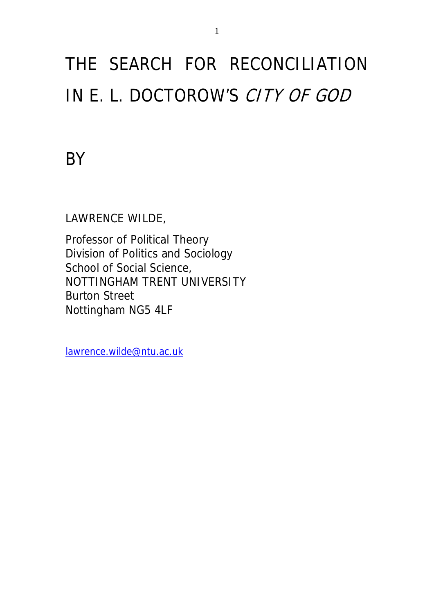# THE SEARCH FOR RECONCILIATION IN E. L. DOCTOROW'S CITY OF GOD

## **BY**

### LAWRENCE WILDE,

Professor of Political Theory Division of Politics and Sociology School of Social Science, NOTTINGHAM TRENT UNIVERSITY Burton Street Nottingham NG5 4LF

[lawrence.wilde@ntu.ac.uk](mailto:lawrence.wilde@ntu.ac.uk)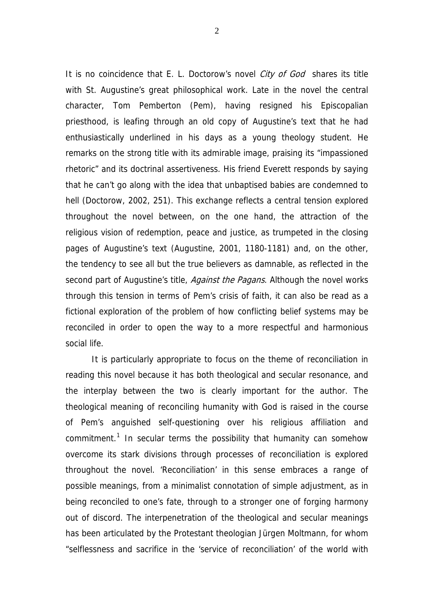It is no coincidence that E. L. Doctorow's novel City of God shares its title with St. Augustine's great philosophical work. Late in the novel the central character, Tom Pemberton (Pem), having resigned his Episcopalian priesthood, is leafing through an old copy of Augustine's text that he had enthusiastically underlined in his days as a young theology student. He remarks on the strong title with its admirable image, praising its "impassioned rhetoric" and its doctrinal assertiveness. His friend Everett responds by saying that he can't go along with the idea that unbaptised babies are condemned to hell (Doctorow, 2002, 251). This exchange reflects a central tension explored throughout the novel between, on the one hand, the attraction of the religious vision of redemption, peace and justice, as trumpeted in the closing pages of Augustine's text (Augustine, 2001, 1180-1181) and, on the other, the tendency to see all but the true believers as damnable, as reflected in the second part of Augustine's title, Against the Pagans. Although the novel works through this tension in terms of Pem's crisis of faith, it can also be read as a fictional exploration of the problem of how conflicting belief systems may be reconciled in order to open the way to a more respectful and harmonious social life.

It is particularly appropriate to focus on the theme of reconciliation in reading this novel because it has both theological and secular resonance, and the interplay between the two is clearly important for the author. The theological meaning of reconciling humanity with God is raised in the course of Pem's anguished self-questioning over his religious affiliation and commitment.<sup>[1](#page-17-0)</sup> In secular terms the possibility that humanity can somehow overcome its stark divisions through processes of reconciliation is explored throughout the novel. 'Reconciliation' in this sense embraces a range of possible meanings, from a minimalist connotation of simple adjustment, as in being reconciled to one's fate, through to a stronger one of forging harmony out of discord. The interpenetration of the theological and secular meanings has been articulated by the Protestant theologian Jürgen Moltmann, for whom "selflessness and sacrifice in the 'service of reconciliation' of the world with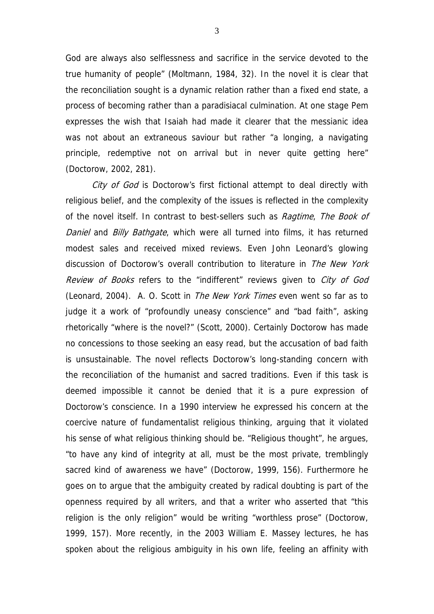God are always also selflessness and sacrifice in the service devoted to the true humanity of people" (Moltmann, 1984, 32). In the novel it is clear that the reconciliation sought is a dynamic relation rather than a fixed end state, a process of becoming rather than a paradisiacal culmination. At one stage Pem expresses the wish that Isaiah had made it clearer that the messianic idea was not about an extraneous saviour but rather "a longing, a navigating principle, redemptive not on arrival but in never quite getting here" (Doctorow, 2002, 281).

City of God is Doctorow's first fictional attempt to deal directly with religious belief, and the complexity of the issues is reflected in the complexity of the novel itself. In contrast to best-sellers such as Ragtime, The Book of Daniel and Billy Bathgate, which were all turned into films, it has returned modest sales and received mixed reviews. Even John Leonard's glowing discussion of Doctorow's overall contribution to literature in The New York Review of Books refers to the "indifferent" reviews given to City of God (Leonard, 2004). A. O. Scott in *The New York Times* even went so far as to judge it a work of "profoundly uneasy conscience" and "bad faith", asking rhetorically "where is the novel?" (Scott, 2000). Certainly Doctorow has made no concessions to those seeking an easy read, but the accusation of bad faith is unsustainable. The novel reflects Doctorow's long-standing concern with the reconciliation of the humanist and sacred traditions. Even if this task is deemed impossible it cannot be denied that it is a pure expression of Doctorow's conscience. In a 1990 interview he expressed his concern at the coercive nature of fundamentalist religious thinking, arguing that it violated his sense of what religious thinking should be. "Religious thought", he argues, "to have any kind of integrity at all, must be the most private, tremblingly sacred kind of awareness we have" (Doctorow, 1999, 156). Furthermore he goes on to argue that the ambiguity created by radical doubting is part of the openness required by all writers, and that a writer who asserted that "this religion is the only religion" would be writing "worthless prose" (Doctorow, 1999, 157). More recently, in the 2003 William E. Massey lectures, he has spoken about the religious ambiguity in his own life, feeling an affinity with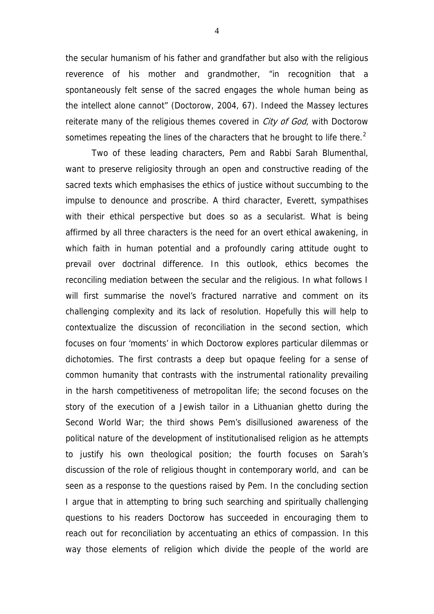the secular humanism of his father and grandfather but also with the religious reverence of his mother and grandmother, "in recognition that a spontaneously felt sense of the sacred engages the whole human being as the intellect alone cannot" (Doctorow, 2004, 67). Indeed the Massey lectures reiterate many of the religious themes covered in *City of God*, with Doctorow sometimes repeating the lines of the characters that he brought to life there.<sup>[2](#page-17-1)</sup>

Two of these leading characters, Pem and Rabbi Sarah Blumenthal, want to preserve religiosity through an open and constructive reading of the sacred texts which emphasises the ethics of justice without succumbing to the impulse to denounce and proscribe. A third character, Everett, sympathises with their ethical perspective but does so as a secularist. What is being affirmed by all three characters is the need for an overt ethical awakening, in which faith in human potential and a profoundly caring attitude ought to prevail over doctrinal difference. In this outlook, ethics becomes the reconciling mediation between the secular and the religious. In what follows I will first summarise the novel's fractured narrative and comment on its challenging complexity and its lack of resolution. Hopefully this will help to contextualize the discussion of reconciliation in the second section, which focuses on four 'moments' in which Doctorow explores particular dilemmas or dichotomies. The first contrasts a deep but opaque feeling for a sense of common humanity that contrasts with the instrumental rationality prevailing in the harsh competitiveness of metropolitan life; the second focuses on the story of the execution of a Jewish tailor in a Lithuanian ghetto during the Second World War; the third shows Pem's disillusioned awareness of the political nature of the development of institutionalised religion as he attempts to justify his own theological position; the fourth focuses on Sarah's discussion of the role of religious thought in contemporary world, and can be seen as a response to the questions raised by Pem. In the concluding section I argue that in attempting to bring such searching and spiritually challenging questions to his readers Doctorow has succeeded in encouraging them to reach out for reconciliation by accentuating an ethics of compassion. In this way those elements of religion which divide the people of the world are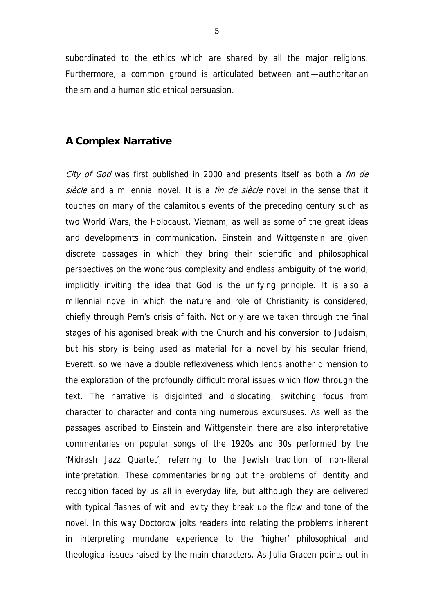subordinated to the ethics which are shared by all the major religions. Furthermore, a common ground is articulated between anti—authoritarian theism and a humanistic ethical persuasion.

#### **A Complex Narrative**

City of God was first published in 2000 and presents itself as both a fin de siècle and a millennial novel. It is a *fin de siècle* novel in the sense that it touches on many of the calamitous events of the preceding century such as two World Wars, the Holocaust, Vietnam, as well as some of the great ideas and developments in communication. Einstein and Wittgenstein are given discrete passages in which they bring their scientific and philosophical perspectives on the wondrous complexity and endless ambiguity of the world, implicitly inviting the idea that God is the unifying principle. It is also a millennial novel in which the nature and role of Christianity is considered, chiefly through Pem's crisis of faith. Not only are we taken through the final stages of his agonised break with the Church and his conversion to Judaism, but his story is being used as material for a novel by his secular friend, Everett, so we have a double reflexiveness which lends another dimension to the exploration of the profoundly difficult moral issues which flow through the text. The narrative is disjointed and dislocating, switching focus from character to character and containing numerous excursuses. As well as the passages ascribed to Einstein and Wittgenstein there are also interpretative commentaries on popular songs of the 1920s and 30s performed by the 'Midrash Jazz Quartet', referring to the Jewish tradition of non-literal interpretation. These commentaries bring out the problems of identity and recognition faced by us all in everyday life, but although they are delivered with typical flashes of wit and levity they break up the flow and tone of the novel. In this way Doctorow jolts readers into relating the problems inherent in interpreting mundane experience to the 'higher' philosophical and theological issues raised by the main characters. As Julia Gracen points out in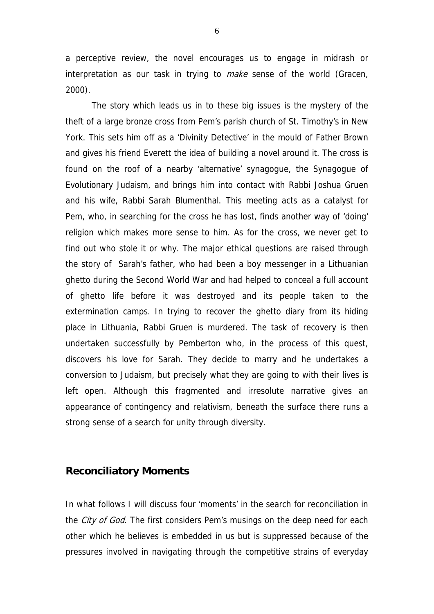a perceptive review, the novel encourages us to engage in midrash or interpretation as our task in trying to *make* sense of the world (Gracen, 2000).

The story which leads us in to these big issues is the mystery of the theft of a large bronze cross from Pem's parish church of St. Timothy's in New York. This sets him off as a 'Divinity Detective' in the mould of Father Brown and gives his friend Everett the idea of building a novel around it. The cross is found on the roof of a nearby 'alternative' synagogue, the Synagogue of Evolutionary Judaism, and brings him into contact with Rabbi Joshua Gruen and his wife, Rabbi Sarah Blumenthal. This meeting acts as a catalyst for Pem, who, in searching for the cross he has lost, finds another way of 'doing' religion which makes more sense to him. As for the cross, we never get to find out who stole it or why. The major ethical questions are raised through the story of Sarah's father, who had been a boy messenger in a Lithuanian ghetto during the Second World War and had helped to conceal a full account of ghetto life before it was destroyed and its people taken to the extermination camps. In trying to recover the ghetto diary from its hiding place in Lithuania, Rabbi Gruen is murdered. The task of recovery is then undertaken successfully by Pemberton who, in the process of this quest, discovers his love for Sarah. They decide to marry and he undertakes a conversion to Judaism, but precisely what they are going to with their lives is left open. Although this fragmented and irresolute narrative gives an appearance of contingency and relativism, beneath the surface there runs a strong sense of a search for unity through diversity.

#### **Reconciliatory Moments**

In what follows I will discuss four 'moments' in the search for reconciliation in the City of God. The first considers Pem's musings on the deep need for each other which he believes is embedded in us but is suppressed because of the pressures involved in navigating through the competitive strains of everyday

6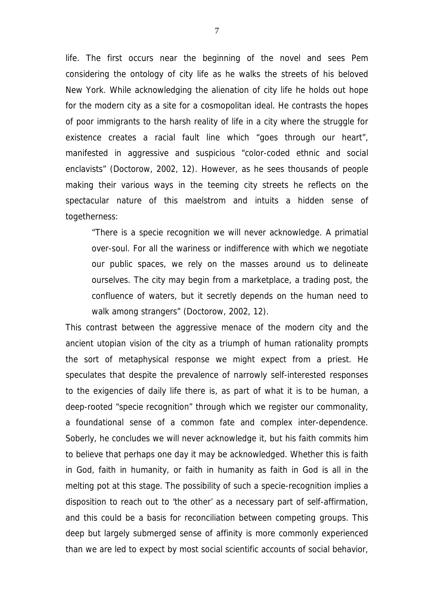life. The first occurs near the beginning of the novel and sees Pem considering the ontology of city life as he walks the streets of his beloved New York. While acknowledging the alienation of city life he holds out hope for the modern city as a site for a cosmopolitan ideal. He contrasts the hopes of poor immigrants to the harsh reality of life in a city where the struggle for existence creates a racial fault line which "goes through our heart", manifested in aggressive and suspicious "color-coded ethnic and social enclavists" (Doctorow, 2002, 12). However, as he sees thousands of people making their various ways in the teeming city streets he reflects on the spectacular nature of this maelstrom and intuits a hidden sense of togetherness:

"There is a specie recognition we will never acknowledge. A primatial over-soul. For all the wariness or indifference with which we negotiate our public spaces, we rely on the masses around us to delineate ourselves. The city may begin from a marketplace, a trading post, the confluence of waters, but it secretly depends on the human need to walk among strangers" (Doctorow, 2002, 12).

This contrast between the aggressive menace of the modern city and the ancient utopian vision of the city as a triumph of human rationality prompts the sort of metaphysical response we might expect from a priest. He speculates that despite the prevalence of narrowly self-interested responses to the exigencies of daily life there is, as part of what it is to be human, a deep-rooted "specie recognition" through which we register our commonality, a foundational sense of a common fate and complex inter-dependence. Soberly, he concludes we will never acknowledge it, but his faith commits him to believe that perhaps one day it may be acknowledged. Whether this is faith in God, faith in humanity, or faith in humanity as faith in God is all in the melting pot at this stage. The possibility of such a specie-recognition implies a disposition to reach out to 'the other' as a necessary part of self-affirmation, and this could be a basis for reconciliation between competing groups. This deep but largely submerged sense of affinity is more commonly experienced than we are led to expect by most social scientific accounts of social behavior,

7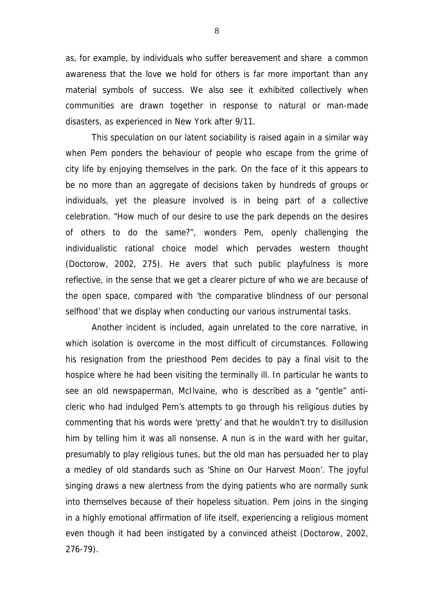as, for example, by individuals who suffer bereavement and share a common awareness that the love we hold for others is far more important than any material symbols of success. We also see it exhibited collectively when communities are drawn together in response to natural or man-made disasters, as experienced in New York after 9/11.

This speculation on our latent sociability is raised again in a similar way when Pem ponders the behaviour of people who escape from the grime of city life by enjoying themselves in the park. On the face of it this appears to be no more than an aggregate of decisions taken by hundreds of groups or individuals, yet the pleasure involved is in being part of a collective celebration. "How much of our desire to use the park depends on the desires of others to do the same?", wonders Pem, openly challenging the individualistic rational choice model which pervades western thought (Doctorow, 2002, 275). He avers that such public playfulness is more reflective, in the sense that we get a clearer picture of who we are because of the open space, compared with 'the comparative blindness of our personal selfhood' that we display when conducting our various instrumental tasks.

Another incident is included, again unrelated to the core narrative, in which isolation is overcome in the most difficult of circumstances. Following his resignation from the priesthood Pem decides to pay a final visit to the hospice where he had been visiting the terminally ill. In particular he wants to see an old newspaperman, McIlvaine, who is described as a "gentle" anticleric who had indulged Pem's attempts to go through his religious duties by commenting that his words were 'pretty' and that he wouldn't try to disillusion him by telling him it was all nonsense. A nun is in the ward with her guitar, presumably to play religious tunes, but the old man has persuaded her to play a medley of old standards such as 'Shine on Our Harvest Moon'. The joyful singing draws a new alertness from the dying patients who are normally sunk into themselves because of their hopeless situation. Pem joins in the singing in a highly emotional affirmation of life itself, experiencing a religious moment even though it had been instigated by a convinced atheist (Doctorow, 2002, 276-79).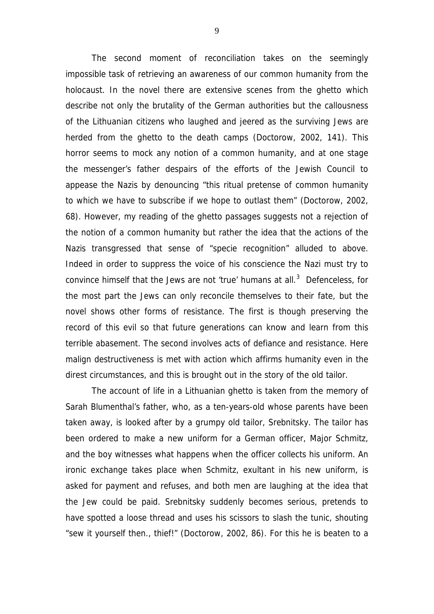The second moment of reconciliation takes on the seemingly impossible task of retrieving an awareness of our common humanity from the holocaust. In the novel there are extensive scenes from the ghetto which describe not only the brutality of the German authorities but the callousness of the Lithuanian citizens who laughed and jeered as the surviving Jews are herded from the ghetto to the death camps (Doctorow, 2002, 141). This horror seems to mock any notion of a common humanity, and at one stage the messenger's father despairs of the efforts of the Jewish Council to appease the Nazis by denouncing "this ritual pretense of common humanity to which we have to subscribe if we hope to outlast them" (Doctorow, 2002, 68). However, my reading of the ghetto passages suggests not a rejection of the notion of a common humanity but rather the idea that the actions of the Nazis transgressed that sense of "specie recognition" alluded to above. Indeed in order to suppress the voice of his conscience the Nazi must try to convince himself that the Jews are not 'true' humans at all. $3$  Defenceless, for the most part the Jews can only reconcile themselves to their fate, but the novel shows other forms of resistance. The first is though preserving the record of this evil so that future generations can know and learn from this terrible abasement. The second involves acts of defiance and resistance. Here malign destructiveness is met with action which affirms humanity even in the direst circumstances, and this is brought out in the story of the old tailor.

The account of life in a Lithuanian ghetto is taken from the memory of Sarah Blumenthal's father, who, as a ten-years-old whose parents have been taken away, is looked after by a grumpy old tailor, Srebnitsky. The tailor has been ordered to make a new uniform for a German officer, Major Schmitz, and the boy witnesses what happens when the officer collects his uniform. An ironic exchange takes place when Schmitz, exultant in his new uniform, is asked for payment and refuses, and both men are laughing at the idea that the Jew could be paid. Srebnitsky suddenly becomes serious, pretends to have spotted a loose thread and uses his scissors to slash the tunic, shouting "sew it yourself then., thief!" (Doctorow, 2002, 86). For this he is beaten to a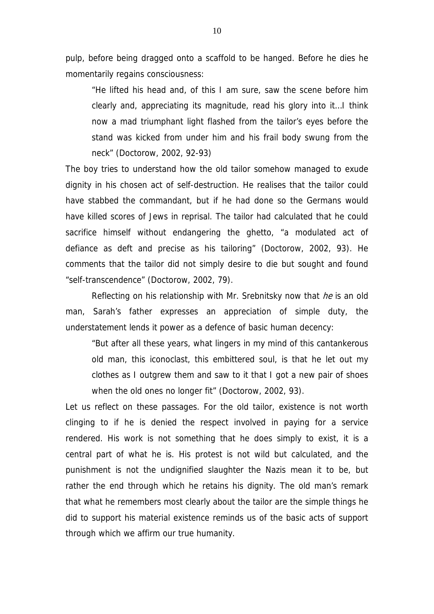pulp, before being dragged onto a scaffold to be hanged. Before he dies he momentarily regains consciousness:

"He lifted his head and, of this I am sure, saw the scene before him clearly and, appreciating its magnitude, read his glory into it…I think now a mad triumphant light flashed from the tailor's eyes before the stand was kicked from under him and his frail body swung from the neck" (Doctorow, 2002, 92-93)

The boy tries to understand how the old tailor somehow managed to exude dignity in his chosen act of self-destruction. He realises that the tailor could have stabbed the commandant, but if he had done so the Germans would have killed scores of Jews in reprisal. The tailor had calculated that he could sacrifice himself without endangering the ghetto, "a modulated act of defiance as deft and precise as his tailoring" (Doctorow, 2002, 93). He comments that the tailor did not simply desire to die but sought and found "self-transcendence" (Doctorow, 2002, 79).

Reflecting on his relationship with Mr. Srebnitsky now that he is an old man, Sarah's father expresses an appreciation of simple duty, the understatement lends it power as a defence of basic human decency:

"But after all these years, what lingers in my mind of this cantankerous old man, this iconoclast, this embittered soul, is that he let out my clothes as I outgrew them and saw to it that I got a new pair of shoes when the old ones no longer fit" (Doctorow, 2002, 93).

Let us reflect on these passages. For the old tailor, existence is not worth clinging to if he is denied the respect involved in paying for a service rendered. His work is not something that he does simply to exist, it is a central part of what he is. His protest is not wild but calculated, and the punishment is not the undignified slaughter the Nazis mean it to be, but rather the end through which he retains his dignity. The old man's remark that what he remembers most clearly about the tailor are the simple things he did to support his material existence reminds us of the basic acts of support through which we affirm our true humanity.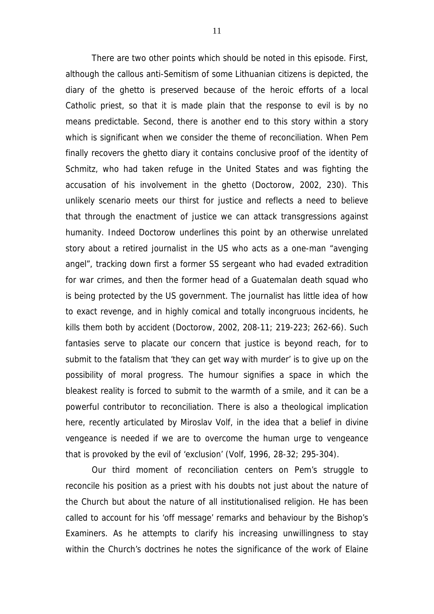There are two other points which should be noted in this episode. First, although the callous anti-Semitism of some Lithuanian citizens is depicted, the diary of the ghetto is preserved because of the heroic efforts of a local Catholic priest, so that it is made plain that the response to evil is by no means predictable. Second, there is another end to this story within a story which is significant when we consider the theme of reconciliation. When Pem finally recovers the ghetto diary it contains conclusive proof of the identity of Schmitz, who had taken refuge in the United States and was fighting the accusation of his involvement in the ghetto (Doctorow, 2002, 230). This unlikely scenario meets our thirst for justice and reflects a need to believe that through the enactment of justice we can attack transgressions against humanity. Indeed Doctorow underlines this point by an otherwise unrelated story about a retired journalist in the US who acts as a one-man "avenging angel", tracking down first a former SS sergeant who had evaded extradition for war crimes, and then the former head of a Guatemalan death squad who is being protected by the US government. The journalist has little idea of how to exact revenge, and in highly comical and totally incongruous incidents, he kills them both by accident (Doctorow, 2002, 208-11; 219-223; 262-66). Such fantasies serve to placate our concern that justice is beyond reach, for to submit to the fatalism that 'they can get way with murder' is to give up on the possibility of moral progress. The humour signifies a space in which the bleakest reality is forced to submit to the warmth of a smile, and it can be a powerful contributor to reconciliation. There is also a theological implication here, recently articulated by Miroslav Volf, in the idea that a belief in divine vengeance is needed if we are to overcome the human urge to vengeance that is provoked by the evil of 'exclusion' (Volf, 1996, 28-32; 295-304).

Our third moment of reconciliation centers on Pem's struggle to reconcile his position as a priest with his doubts not just about the nature of the Church but about the nature of all institutionalised religion. He has been called to account for his 'off message' remarks and behaviour by the Bishop's Examiners. As he attempts to clarify his increasing unwillingness to stay within the Church's doctrines he notes the significance of the work of Elaine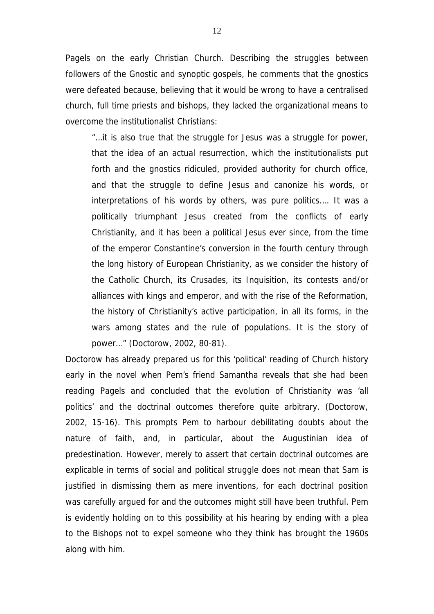Pagels on the early Christian Church. Describing the struggles between followers of the Gnostic and synoptic gospels, he comments that the gnostics were defeated because, believing that it would be wrong to have a centralised church, full time priests and bishops, they lacked the organizational means to overcome the institutionalist Christians:

"…it is also true that the struggle for Jesus was a struggle for power, that the idea of an actual resurrection, which the institutionalists put forth and the gnostics ridiculed, provided authority for church office, and that the struggle to define Jesus and canonize his words, or interpretations of his words by others, was pure politics…. It was a politically triumphant Jesus created from the conflicts of early Christianity, and it has been a political Jesus ever since, from the time of the emperor Constantine's conversion in the fourth century through the long history of European Christianity, as we consider the history of the Catholic Church, its Crusades, its Inquisition, its contests and/or alliances with kings and emperor, and with the rise of the Reformation, the history of Christianity's active participation, in all its forms, in the wars among states and the rule of populations. It is the story of power…" (Doctorow, 2002, 80-81).

Doctorow has already prepared us for this 'political' reading of Church history early in the novel when Pem's friend Samantha reveals that she had been reading Pagels and concluded that the evolution of Christianity was 'all politics' and the doctrinal outcomes therefore quite arbitrary. (Doctorow, 2002, 15-16). This prompts Pem to harbour debilitating doubts about the nature of faith, and, in particular, about the Augustinian idea of predestination. However, merely to assert that certain doctrinal outcomes are explicable in terms of social and political struggle does not mean that Sam is justified in dismissing them as mere inventions, for each doctrinal position was carefully argued for and the outcomes might still have been truthful. Pem is evidently holding on to this possibility at his hearing by ending with a plea to the Bishops not to expel someone who they think has brought the 1960s along with him.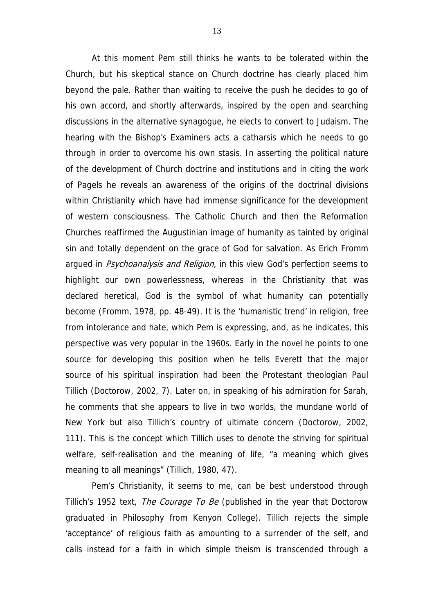At this moment Pem still thinks he wants to be tolerated within the Church, but his skeptical stance on Church doctrine has clearly placed him beyond the pale. Rather than waiting to receive the push he decides to go of his own accord, and shortly afterwards, inspired by the open and searching discussions in the alternative synagogue, he elects to convert to Judaism. The hearing with the Bishop's Examiners acts a catharsis which he needs to go through in order to overcome his own stasis. In asserting the political nature of the development of Church doctrine and institutions and in citing the work of Pagels he reveals an awareness of the origins of the doctrinal divisions within Christianity which have had immense significance for the development of western consciousness. The Catholic Church and then the Reformation Churches reaffirmed the Augustinian image of humanity as tainted by original sin and totally dependent on the grace of God for salvation. As Erich Fromm argued in Psychoanalysis and Religion, in this view God's perfection seems to highlight our own powerlessness, whereas in the Christianity that was declared heretical, God is the symbol of what humanity can potentially become (Fromm, 1978, pp. 48-49). It is the 'humanistic trend' in religion, free from intolerance and hate, which Pem is expressing, and, as he indicates, this perspective was very popular in the 1960s. Early in the novel he points to one source for developing this position when he tells Everett that the major source of his spiritual inspiration had been the Protestant theologian Paul Tillich (Doctorow, 2002, 7). Later on, in speaking of his admiration for Sarah, he comments that she appears to live in two worlds, the mundane world of New York but also Tillich's country of ultimate concern (Doctorow, 2002, 111). This is the concept which Tillich uses to denote the striving for spiritual welfare, self-realisation and the meaning of life, "a meaning which gives meaning to all meanings" (Tillich, 1980, 47).

Pem's Christianity, it seems to me, can be best understood through Tillich's 1952 text, *The Courage To Be* (published in the year that Doctorow graduated in Philosophy from Kenyon College). Tillich rejects the simple 'acceptance' of religious faith as amounting to a surrender of the self, and calls instead for a faith in which simple theism is transcended through a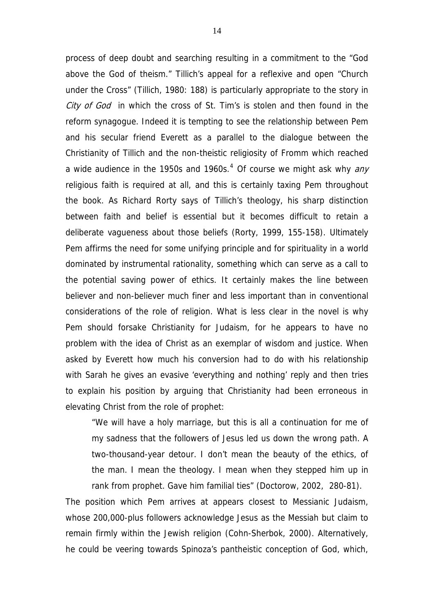process of deep doubt and searching resulting in a commitment to the "God above the God of theism." Tillich's appeal for a reflexive and open "Church under the Cross" (Tillich, 1980: 188) is particularly appropriate to the story in City of God in which the cross of St. Tim's is stolen and then found in the reform synagogue. Indeed it is tempting to see the relationship between Pem and his secular friend Everett as a parallel to the dialogue between the Christianity of Tillich and the non-theistic religiosity of Fromm which reached a wide audience in the 1950s and 1960s.<sup>[4](#page-17-1)</sup> Of course we might ask why any religious faith is required at all, and this is certainly taxing Pem throughout the book. As Richard Rorty says of Tillich's theology, his sharp distinction between faith and belief is essential but it becomes difficult to retain a deliberate vagueness about those beliefs (Rorty, 1999, 155-158). Ultimately Pem affirms the need for some unifying principle and for spirituality in a world dominated by instrumental rationality, something which can serve as a call to the potential saving power of ethics. It certainly makes the line between believer and non-believer much finer and less important than in conventional considerations of the role of religion. What is less clear in the novel is why Pem should forsake Christianity for Judaism, for he appears to have no problem with the idea of Christ as an exemplar of wisdom and justice. When asked by Everett how much his conversion had to do with his relationship with Sarah he gives an evasive 'everything and nothing' reply and then tries to explain his position by arguing that Christianity had been erroneous in elevating Christ from the role of prophet:

"We will have a holy marriage, but this is all a continuation for me of my sadness that the followers of Jesus led us down the wrong path. A two-thousand-year detour. I don't mean the beauty of the ethics, of the man. I mean the theology. I mean when they stepped him up in rank from prophet. Gave him familial ties" (Doctorow, 2002, 280-81).

The position which Pem arrives at appears closest to Messianic Judaism, whose 200,000-plus followers acknowledge Jesus as the Messiah but claim to remain firmly within the Jewish religion (Cohn-Sherbok, 2000). Alternatively, he could be veering towards Spinoza's pantheistic conception of God, which,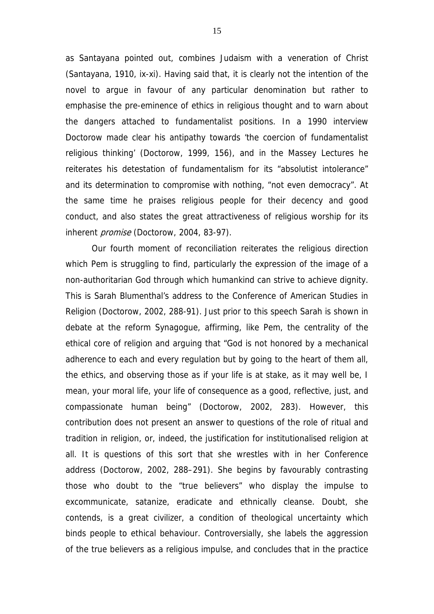as Santayana pointed out, combines Judaism with a veneration of Christ (Santayana, 1910, ix-xi). Having said that, it is clearly not the intention of the novel to argue in favour of any particular denomination but rather to emphasise the pre-eminence of ethics in religious thought and to warn about the dangers attached to fundamentalist positions. In a 1990 interview Doctorow made clear his antipathy towards 'the coercion of fundamentalist religious thinking' (Doctorow, 1999, 156), and in the Massey Lectures he reiterates his detestation of fundamentalism for its "absolutist intolerance" and its determination to compromise with nothing, "not even democracy". At the same time he praises religious people for their decency and good conduct, and also states the great attractiveness of religious worship for its inherent *promise* (Doctorow, 2004, 83-97).

 Our fourth moment of reconciliation reiterates the religious direction which Pem is struggling to find, particularly the expression of the image of a non-authoritarian God through which humankind can strive to achieve dignity. This is Sarah Blumenthal's address to the Conference of American Studies in Religion (Doctorow, 2002, 288-91). Just prior to this speech Sarah is shown in debate at the reform Synagogue, affirming, like Pem, the centrality of the ethical core of religion and arguing that "God is not honored by a mechanical adherence to each and every regulation but by going to the heart of them all, the ethics, and observing those as if your life is at stake, as it may well be, I mean, your moral life, your life of consequence as a good, reflective, just, and compassionate human being" (Doctorow, 2002, 283). However, this contribution does not present an answer to questions of the role of ritual and tradition in religion, or, indeed, the justification for institutionalised religion at all. It is questions of this sort that she wrestles with in her Conference address (Doctorow, 2002, 288–291). She begins by favourably contrasting those who doubt to the "true believers" who display the impulse to excommunicate, satanize, eradicate and ethnically cleanse. Doubt, she contends, is a great civilizer, a condition of theological uncertainty which binds people to ethical behaviour. Controversially, she labels the aggression of the true believers as a religious impulse, and concludes that in the practice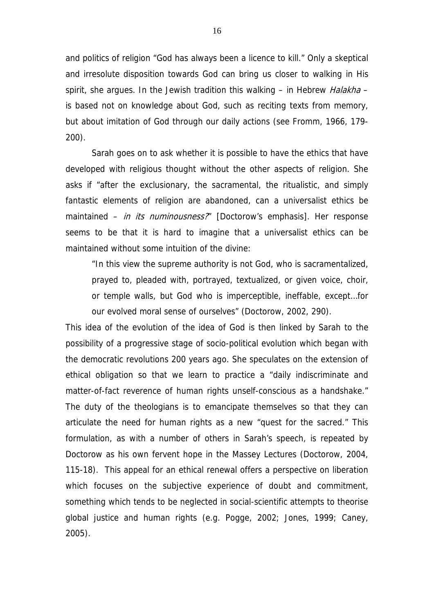and politics of religion "God has always been a licence to kill." Only a skeptical and irresolute disposition towards God can bring us closer to walking in His spirit, she argues. In the Jewish tradition this walking – in Hebrew *Halakha* – is based not on knowledge about God, such as reciting texts from memory, but about imitation of God through our daily actions (see Fromm, 1966, 179- 200).

 Sarah goes on to ask whether it is possible to have the ethics that have developed with religious thought without the other aspects of religion. She asks if "after the exclusionary, the sacramental, the ritualistic, and simply fantastic elements of religion are abandoned, can a universalist ethics be maintained – *in its numinousness?*" [Doctorow's emphasis]. Her response seems to be that it is hard to imagine that a universalist ethics can be maintained without some intuition of the divine:

"In this view the supreme authority is not God, who is sacramentalized, prayed to, pleaded with, portrayed, textualized, or given voice, choir, or temple walls, but God who is imperceptible, ineffable, except…for our evolved moral sense of ourselves" (Doctorow, 2002, 290).

This idea of the evolution of the idea of God is then linked by Sarah to the possibility of a progressive stage of socio-political evolution which began with the democratic revolutions 200 years ago. She speculates on the extension of ethical obligation so that we learn to practice a "daily indiscriminate and matter-of-fact reverence of human rights unself-conscious as a handshake." The duty of the theologians is to emancipate themselves so that they can articulate the need for human rights as a new "quest for the sacred." This formulation, as with a number of others in Sarah's speech, is repeated by Doctorow as his own fervent hope in the Massey Lectures (Doctorow, 2004, 115-18). This appeal for an ethical renewal offers a perspective on liberation which focuses on the subjective experience of doubt and commitment, something which tends to be neglected in social-scientific attempts to theorise global justice and human rights (e.g. Pogge, 2002; Jones, 1999; Caney, 2005).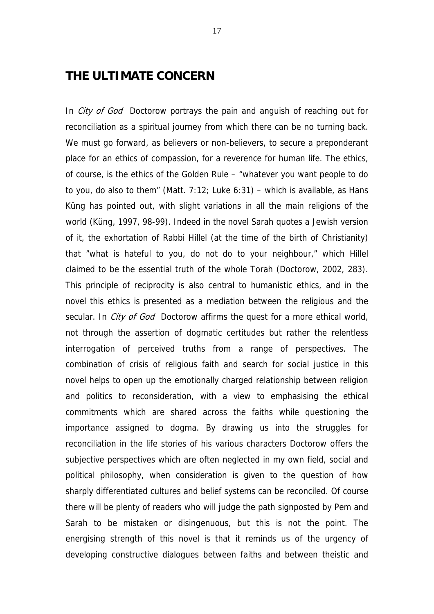#### **THE ULTIMATE CONCERN**

In *City of God* Doctorow portrays the pain and anguish of reaching out for reconciliation as a spiritual journey from which there can be no turning back. We must go forward, as believers or non-believers, to secure a preponderant place for an ethics of compassion, for a reverence for human life. The ethics, of course, is the ethics of the Golden Rule – "whatever you want people to do to you, do also to them" (Matt. 7:12; Luke 6:31) – which is available, as Hans Küng has pointed out, with slight variations in all the main religions of the world (Küng, 1997, 98-99). Indeed in the novel Sarah quotes a Jewish version of it, the exhortation of Rabbi Hillel (at the time of the birth of Christianity) that "what is hateful to you, do not do to your neighbour," which Hillel claimed to be the essential truth of the whole Torah (Doctorow, 2002, 283). This principle of reciprocity is also central to humanistic ethics, and in the novel this ethics is presented as a mediation between the religious and the secular. In *City of God* Doctorow affirms the quest for a more ethical world, not through the assertion of dogmatic certitudes but rather the relentless interrogation of perceived truths from a range of perspectives. The combination of crisis of religious faith and search for social justice in this novel helps to open up the emotionally charged relationship between religion and politics to reconsideration, with a view to emphasising the ethical commitments which are shared across the faiths while questioning the importance assigned to dogma. By drawing us into the struggles for reconciliation in the life stories of his various characters Doctorow offers the subjective perspectives which are often neglected in my own field, social and political philosophy, when consideration is given to the question of how sharply differentiated cultures and belief systems can be reconciled. Of course there will be plenty of readers who will judge the path signposted by Pem and Sarah to be mistaken or disingenuous, but this is not the point. The energising strength of this novel is that it reminds us of the urgency of developing constructive dialogues between faiths and between theistic and